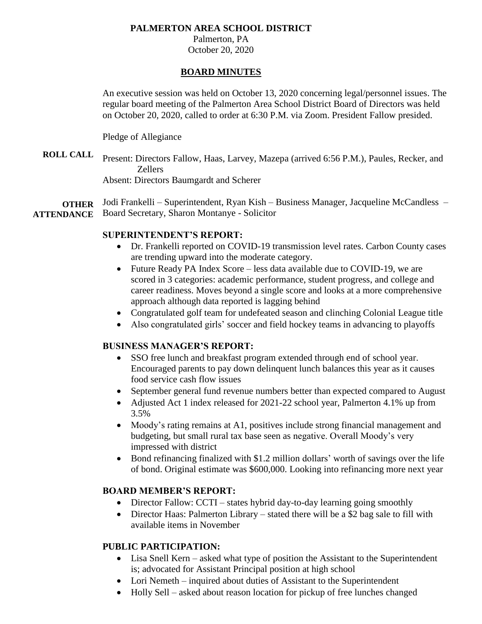### **PALMERTON AREA SCHOOL DISTRICT**

Palmerton, PA October 20, 2020

#### **BOARD MINUTES**

An executive session was held on October 13, 2020 concerning legal/personnel issues. The regular board meeting of the Palmerton Area School District Board of Directors was held on October 20, 2020, called to order at 6:30 P.M. via Zoom. President Fallow presided.

Pledge of Allegiance

**ROLL CALL** Present: Directors Fallow, Haas, Larvey, Mazepa (arrived 6:56 P.M.), Paules, Recker, and Zellers Absent: Directors Baumgardt and Scherer

**OTHER ATTENDANCE** Jodi Frankelli – Superintendent, Ryan Kish – Business Manager, Jacqueline McCandless – Board Secretary, Sharon Montanye - Solicitor

#### **SUPERINTENDENT'S REPORT:**

- Dr. Frankelli reported on COVID-19 transmission level rates. Carbon County cases are trending upward into the moderate category.
- Future Ready PA Index Score less data available due to COVID-19, we are scored in 3 categories: academic performance, student progress, and college and career readiness. Moves beyond a single score and looks at a more comprehensive approach although data reported is lagging behind
- Congratulated golf team for undefeated season and clinching Colonial League title
- Also congratulated girls' soccer and field hockey teams in advancing to playoffs

#### **BUSINESS MANAGER'S REPORT:**

- SSO free lunch and breakfast program extended through end of school year. Encouraged parents to pay down delinquent lunch balances this year as it causes food service cash flow issues
- September general fund revenue numbers better than expected compared to August
- Adjusted Act 1 index released for 2021-22 school year, Palmerton 4.1% up from 3.5%
- Moody's rating remains at A1, positives include strong financial management and budgeting, but small rural tax base seen as negative. Overall Moody's very impressed with district
- Bond refinancing finalized with \$1.2 million dollars' worth of savings over the life of bond. Original estimate was \$600,000. Looking into refinancing more next year

#### **BOARD MEMBER'S REPORT:**

- Director Fallow: CCTI states hybrid day-to-day learning going smoothly
- Director Haas: Palmerton Library stated there will be a \$2 bag sale to fill with available items in November

# **PUBLIC PARTICIPATION:**

- Lisa Snell Kern asked what type of position the Assistant to the Superintendent is; advocated for Assistant Principal position at high school
- Lori Nemeth inquired about duties of Assistant to the Superintendent
- Holly Sell asked about reason location for pickup of free lunches changed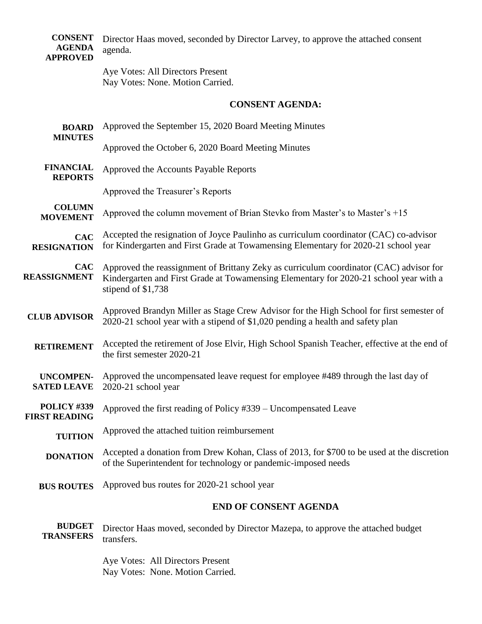|                       | <b>CONSENT</b> Director Haas moved, seconded by Director Larvey, to approve the attached consent |
|-----------------------|--------------------------------------------------------------------------------------------------|
| <b>AGENDA</b> agenda. |                                                                                                  |
| <b>APPROVED</b>       |                                                                                                  |

Aye Votes: All Directors Present Nay Votes: None. Motion Carried.

# **CONSENT AGENDA:**

| Approved the September 15, 2020 Board Meeting Minutes<br><b>BOARD</b><br><b>MINUTES</b> |                                                                                                                                                                                                       |  |  |
|-----------------------------------------------------------------------------------------|-------------------------------------------------------------------------------------------------------------------------------------------------------------------------------------------------------|--|--|
|                                                                                         | Approved the October 6, 2020 Board Meeting Minutes                                                                                                                                                    |  |  |
| <b>FINANCIAL</b><br><b>REPORTS</b>                                                      | Approved the Accounts Payable Reports                                                                                                                                                                 |  |  |
|                                                                                         | Approved the Treasurer's Reports                                                                                                                                                                      |  |  |
| <b>COLUMN</b><br><b>MOVEMENT</b>                                                        | Approved the column movement of Brian Stevko from Master's to Master's $+15$                                                                                                                          |  |  |
| <b>CAC</b><br><b>RESIGNATION</b>                                                        | Accepted the resignation of Joyce Paulinho as curriculum coordinator (CAC) co-advisor<br>for Kindergarten and First Grade at Towamensing Elementary for 2020-21 school year                           |  |  |
| <b>CAC</b><br><b>REASSIGNMENT</b>                                                       | Approved the reassignment of Brittany Zeky as curriculum coordinator (CAC) advisor for<br>Kindergarten and First Grade at Towamensing Elementary for 2020-21 school year with a<br>stipend of \$1,738 |  |  |
| <b>CLUB ADVISOR</b>                                                                     | Approved Brandyn Miller as Stage Crew Advisor for the High School for first semester of<br>2020-21 school year with a stipend of \$1,020 pending a health and safety plan                             |  |  |
| <b>RETIREMENT</b>                                                                       | Accepted the retirement of Jose Elvir, High School Spanish Teacher, effective at the end of<br>the first semester 2020-21                                                                             |  |  |
| <b>UNCOMPEN-</b><br><b>SATED LEAVE</b>                                                  | Approved the uncompensated leave request for employee #489 through the last day of<br>2020-21 school year                                                                                             |  |  |
| POLICY #339<br><b>FIRST READING</b>                                                     | Approved the first reading of Policy #339 – Uncompensated Leave                                                                                                                                       |  |  |
| <b>TUITION</b>                                                                          | Approved the attached tuition reimbursement                                                                                                                                                           |  |  |
| <b>DONATION</b>                                                                         | Accepted a donation from Drew Kohan, Class of 2013, for \$700 to be used at the discretion<br>of the Superintendent for technology or pandemic-imposed needs                                          |  |  |
| <b>BUS ROUTES</b>                                                                       | Approved bus routes for 2020-21 school year                                                                                                                                                           |  |  |
|                                                                                         | <b>END OF CONSENT AGENDA</b>                                                                                                                                                                          |  |  |
| <b>BUDGET</b><br><b>TRANSFERS</b>                                                       | Director Haas moved, seconded by Director Mazepa, to approve the attached budget<br>transfers.                                                                                                        |  |  |

Aye Votes: All Directors Present Nay Votes: None. Motion Carried.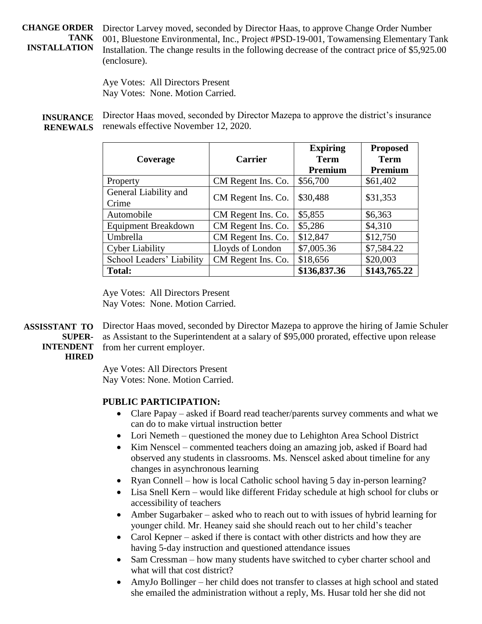**CHANGE ORDER TANK INSTALLATION** Director Larvey moved, seconded by Director Haas, to approve Change Order Number 001, Bluestone Environmental, Inc., Project #PSD-19-001, Towamensing Elementary Tank Installation. The change results in the following decrease of the contract price of \$5,925.00 (enclosure).

> Aye Votes: All Directors Present Nay Votes: None. Motion Carried.

**INSURANCE RENEWALS** Director Haas moved, seconded by Director Mazepa to approve the district's insurance renewals effective November 12, 2020.

| Coverage                       | <b>Carrier</b>     | <b>Expiring</b><br><b>Term</b><br><b>Premium</b> | <b>Proposed</b><br><b>Term</b><br>Premium |
|--------------------------------|--------------------|--------------------------------------------------|-------------------------------------------|
| Property                       | CM Regent Ins. Co. | \$56,700                                         | \$61,402                                  |
| General Liability and<br>Crime | CM Regent Ins. Co. | \$30,488                                         | \$31,353                                  |
| Automobile                     | CM Regent Ins. Co. | \$5,855                                          | \$6,363                                   |
| <b>Equipment Breakdown</b>     | CM Regent Ins. Co. | \$5,286                                          | \$4,310                                   |
| Umbrella                       | CM Regent Ins. Co. | \$12,847                                         | \$12,750                                  |
| <b>Cyber Liability</b>         | Lloyds of London   | \$7,005.36                                       | \$7,584.22                                |
| School Leaders' Liability      | CM Regent Ins. Co. | \$18,656                                         | \$20,003                                  |
| <b>Total:</b>                  |                    | \$136,837.36                                     | \$143,765.22                              |

Aye Votes: All Directors Present Nay Votes: None. Motion Carried.

**ASSISSTANT TO SUPER-INTENDENT** Director Haas moved, seconded by Director Mazepa to approve the hiring of Jamie Schuler as Assistant to the Superintendent at a salary of \$95,000 prorated, effective upon release from her current employer.

# **HIRED**

Aye Votes: All Directors Present Nay Votes: None. Motion Carried.

# **PUBLIC PARTICIPATION:**

- Clare Papay asked if Board read teacher/parents survey comments and what we can do to make virtual instruction better
- Lori Nemeth questioned the money due to Lehighton Area School District
- Kim Nenscel commented teachers doing an amazing job, asked if Board had observed any students in classrooms. Ms. Nenscel asked about timeline for any changes in asynchronous learning
- Ryan Connell how is local Catholic school having 5 day in-person learning?
- Lisa Snell Kern would like different Friday schedule at high school for clubs or accessibility of teachers
- Amber Sugarbaker asked who to reach out to with issues of hybrid learning for younger child. Mr. Heaney said she should reach out to her child's teacher
- Carol Kepner asked if there is contact with other districts and how they are having 5-day instruction and questioned attendance issues
- Sam Cressman how many students have switched to cyber charter school and what will that cost district?
- AmyJo Bollinger her child does not transfer to classes at high school and stated she emailed the administration without a reply, Ms. Husar told her she did not